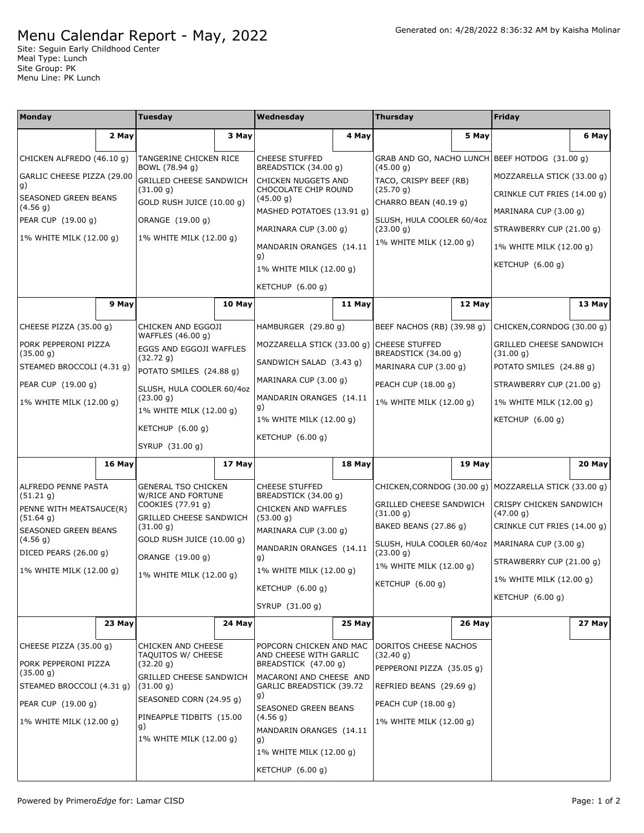## Menu Calendar Report - May, 2022

Site: Seguin Early Childhood Center Meal Type: Lunch Site Group: PK Menu Line: PK Lunch

| <b>Monday</b>                          |        | Tuesday                                                               |        | Wednesday                                                                             |        | <b>Thursday</b>                                              |        | Friday                                                  |        |
|----------------------------------------|--------|-----------------------------------------------------------------------|--------|---------------------------------------------------------------------------------------|--------|--------------------------------------------------------------|--------|---------------------------------------------------------|--------|
|                                        | 2 May  |                                                                       | 3 May  |                                                                                       | 4 May  |                                                              | 5 May  |                                                         | 6 May  |
| CHICKEN ALFREDO (46.10 g)              |        | TANGERINE CHICKEN RICE                                                |        | <b>CHEESE STUFFED</b>                                                                 |        |                                                              |        | GRAB AND GO, NACHO LUNCH BEEF HOTDOG (31.00 g)          |        |
| GARLIC CHEESE PIZZA (29.00             |        | BOWL (78.94 g)                                                        |        | BREADSTICK (34.00 q)                                                                  |        | (45.00 g)                                                    |        | MOZZARELLA STICK (33.00 g)                              |        |
| g)                                     |        | GRILLED CHEESE SANDWICH<br>(31.00 g)                                  |        | CHICKEN NUGGETS AND<br>CHOCOLATE CHIP ROUND<br>(45.00 g)<br>MASHED POTATOES (13.91 g) |        | TACO, CRISPY BEEF (RB)<br>(25.70 g)<br>CHARRO BEAN (40.19 g) |        | CRINKLE CUT FRIES (14.00 g)                             |        |
| SEASONED GREEN BEANS<br>(4.56 g)       |        | GOLD RUSH JUICE (10.00 g)                                             |        |                                                                                       |        |                                                              |        | MARINARA CUP (3.00 g)                                   |        |
| PEAR CUP (19.00 g)                     |        | ORANGE (19.00 g)                                                      |        | MARINARA CUP (3.00 g)                                                                 |        | SLUSH, HULA COOLER 60/4oz<br>(23.00 g)                       |        | STRAWBERRY CUP (21.00 g)                                |        |
| 1% WHITE MILK (12.00 g)                |        | 1% WHITE MILK (12.00 g)                                               |        | MANDARIN ORANGES (14.11                                                               |        | 1% WHITE MILK (12.00 g)                                      |        | 1% WHITE MILK (12.00 g)                                 |        |
|                                        |        |                                                                       |        | g)                                                                                    |        |                                                              |        | KETCHUP (6.00 g)                                        |        |
|                                        |        |                                                                       |        | 1% WHITE MILK (12.00 g)                                                               |        |                                                              |        |                                                         |        |
|                                        |        |                                                                       |        | KETCHUP $(6.00 g)$                                                                    |        |                                                              |        |                                                         |        |
|                                        | 9 May  |                                                                       | 10 May |                                                                                       | 11 May |                                                              | 12 May |                                                         | 13 May |
| CHEESE PIZZA (35.00 g)                 |        | CHICKEN AND EGGOJI                                                    |        | HAMBURGER (29.80 g)                                                                   |        | BEEF NACHOS (RB) (39.98 g)                                   |        | CHICKEN, CORNDOG (30.00 q)                              |        |
| PORK PEPPERONI PIZZA                   |        | WAFFLES (46.00 g)<br>EGGS AND EGGOJI WAFFLES                          |        | MOZZARELLA STICK (33.00 g) CHEESE STUFFED                                             |        |                                                              |        | GRILLED CHEESE SANDWICH                                 |        |
| (35.00 g)<br>STEAMED BROCCOLI (4.31 g) |        | (32.72 g)                                                             |        | SANDWICH SALAD (3.43 g)                                                               |        | BREADSTICK (34.00 g)<br>MARINARA CUP (3.00 g)                |        | (31.00 g)<br>POTATO SMILES (24.88 g)                    |        |
| PEAR CUP (19.00 g)                     |        | POTATO SMILES (24.88 g)                                               |        | MARINARA CUP (3.00 g)                                                                 |        | PEACH CUP (18.00 g)                                          |        | STRAWBERRY CUP (21.00 g)                                |        |
| 1% WHITE MILK (12.00 g)                |        | SLUSH, HULA COOLER 60/4oz<br>(23.00 g)                                |        | MANDARIN ORANGES (14.11                                                               |        | 1% WHITE MILK (12.00 g)                                      |        | 1% WHITE MILK (12.00 g)                                 |        |
|                                        |        | 1% WHITE MILK (12.00 g)                                               |        | g)<br>1% WHITE MILK (12.00 g)                                                         |        |                                                              |        | KETCHUP (6.00 g)                                        |        |
|                                        |        | KETCHUP $(6.00 g)$                                                    |        | KETCHUP $(6.00 g)$                                                                    |        |                                                              |        |                                                         |        |
|                                        |        | SYRUP (31.00 g)                                                       |        |                                                                                       |        |                                                              |        |                                                         |        |
|                                        | 16 May |                                                                       | 17 May |                                                                                       | 18 May |                                                              | 19 May |                                                         | 20 May |
| ALFREDO PENNE PASTA                    |        | <b>GENERAL TSO CHICKEN</b><br>W/RICE AND FORTUNE<br>COOKIES (77.91 g) |        | <b>CHEESE STUFFED</b><br>BREADSTICK (34.00 g)<br>CHICKEN AND WAFFLES                  |        |                                                              |        | CHICKEN, CORNDOG (30.00 g)   MOZZARELLA STICK (33.00 g) |        |
| (51.21 g)<br>PENNE WITH MEATSAUCE(R)   |        |                                                                       |        |                                                                                       |        | <b>GRILLED CHEESE SANDWICH</b>                               |        | CRISPY CHICKEN SANDWICH                                 |        |
| (51.64 g)                              |        | <b>GRILLED CHEESE SANDWICH</b><br>(31.00 g)                           |        | (53.00 g)                                                                             |        | (31.00 g)<br>BAKED BEANS (27.86 g)                           |        | (47.00 g)<br>CRINKLE CUT FRIES (14.00 g)                |        |
| SEASONED GREEN BEANS<br>(4.56 g)       |        | GOLD RUSH JUICE (10.00 g)                                             |        | MARINARA CUP (3.00 g)                                                                 |        | SLUSH, HULA COOLER 60/4oz                                    |        | MARINARA CUP (3.00 q)                                   |        |
| DICED PEARS (26.00 q)                  |        | ORANGE (19.00 g)                                                      |        | MANDARIN ORANGES (14.11<br>g)<br>1% WHITE MILK (12.00 g)                              |        | (23.00 g)<br>1% WHITE MILK (12.00 g)                         |        | STRAWBERRY CUP (21.00 g)                                |        |
| 1% WHITE MILK (12.00 g)                |        | 1% WHITE MILK (12.00 q)                                               |        |                                                                                       |        |                                                              |        | 1% WHITE MILK (12.00 g)                                 |        |
|                                        |        |                                                                       |        | KETCHUP (6.00 q)                                                                      |        | KETCHUP (6.00 g)                                             |        | KETCHUP $(6.00 g)$                                      |        |
|                                        |        |                                                                       |        | SYRUP (31.00 g)                                                                       |        |                                                              |        |                                                         |        |
|                                        | 23 May |                                                                       | 24 May |                                                                                       | 25 May |                                                              | 26 May |                                                         | 27 May |
| CHEESE PIZZA (35.00 g)                 |        | <b>CHICKEN AND CHEESE</b><br>TAQUITOS W/ CHEESE<br>(32.20 g)          |        | POPCORN CHICKEN AND MAC<br>AND CHEESE WITH GARLIC<br>BREADSTICK (47.00 g)             |        | DORITOS CHEESE NACHOS                                        |        |                                                         |        |
| PORK PEPPERONI PIZZA                   |        |                                                                       |        |                                                                                       |        | (32.40 g)                                                    |        |                                                         |        |
| (35.00 g)                              |        | <b>GRILLED CHEESE SANDWICH</b>                                        |        | MACARONI AND CHEESE AND                                                               |        | PEPPERONI PIZZA (35.05 g)                                    |        |                                                         |        |
| STEAMED BROCCOLI (4.31 g)              |        | (31.00 g)<br>SEASONED CORN (24.95 g)                                  |        | <b>GARLIC BREADSTICK (39.72</b><br>g)                                                 |        | REFRIED BEANS (29.69 g)                                      |        |                                                         |        |
| PEAR CUP (19.00 g)                     |        | PINEAPPLE TIDBITS (15.00                                              |        | SEASONED GREEN BEANS<br>(4.56 g)<br>MANDARIN ORANGES (14.11                           |        | PEACH CUP (18.00 g)                                          |        |                                                         |        |
| 1% WHITE MILK (12.00 g)                |        | g)                                                                    |        |                                                                                       |        | 1% WHITE MILK (12.00 g)                                      |        |                                                         |        |
|                                        |        | 1% WHITE MILK (12.00 g)                                               |        | g)<br>1% WHITE MILK (12.00 g)                                                         |        |                                                              |        |                                                         |        |
|                                        |        |                                                                       |        | KETCHUP (6.00 g)                                                                      |        |                                                              |        |                                                         |        |
|                                        |        |                                                                       |        |                                                                                       |        |                                                              |        |                                                         |        |